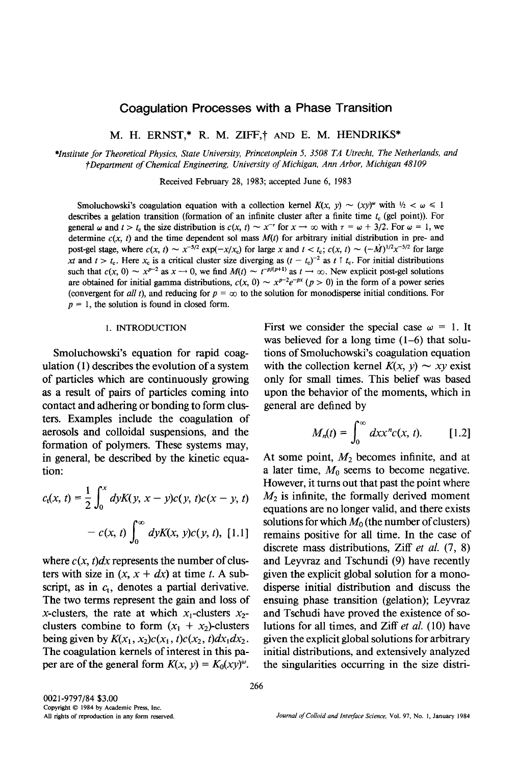# Coagulation Processes with a Phase Transition

M. H. ERNST,\* R. M. ZIFF,† AND E. M. HENDRIKS\*

*\*Institute for Theoretical Physics, State University, Princetonplein 5, 3508 TA Utrecht, The Netherlands, and i'Department of Chemical Engineering, University of Michigan, Ann Arbor, Michigan 48109* 

Received February 28, 1983; accepted June 6, 1983

Smoluchowski's coagulation equation with a collection kernel  $K(x, y) \sim (xy)^{\omega}$  with  $\frac{1}{2} < \omega \le 1$ describes a gelation transition (formation of an infinite cluster after a finite time  $t_c$  (gel point)). For general  $\omega$  and  $t > t_c$  the size distribution is  $c(x, t) \sim x^{-\tau}$  for  $x \to \infty$  with  $\tau = \omega + 3/2$ . For  $\omega = 1$ , we determine  $c(x, t)$  and the time dependent sol mass  $M(t)$  for arbitrary initial distribution in pre- and post-gel stage, where  $c(x, t) \sim x^{-5/2} \exp(-x/x_c)$  for large x and  $t < t_c$ ;  $c(x, t) \sim (-\dot{M})^{1/2} x^{-5/2}$  for large *xt* and  $t > t_c$ . Here  $x_c$  is a critical cluster size diverging as  $(t - t_c)^{-2}$  as  $t \uparrow t_c$ . For initial distributions such that  $c(x, 0) \sim x^{p-2}$  as  $x \to 0$ , we find  $M(t) \sim t^{-p/(p+1)}$  as  $t \to \infty$ . New explicit post-gel solutions are obtained for initial gamma distributions,  $c(x, 0) \sim x^{p-2}e^{-px}$  ( $p > 0$ ) in the form of a power series (convergent for *all t*), and reducing for  $p = \infty$  to the solution for monodisperse initial conditions. For  $p = 1$ , the solution is found in closed form.

## 1. INTRODUCTION

Smoluchowski's equation for rapid coagulation (1) describes the evolution of a system of particles which are continuously growing as a result of pairs of particles coming into contact and adhering or bonding to form clusters. Examples include the coagulation of aerosols and colloidal suspensions, and the formation of polymers. These systems may, in general, be described by the kinetic equation:

$$
c_t(x, t) = \frac{1}{2} \int_0^x dyK(y, x - y)c(y, t)c(x - y, t)
$$

$$
- c(x, t) \int_0^\infty dyK(x, y)c(y, t), [1.1]
$$

where  $c(x, t)dx$  represents the number of clusters with size in  $(x, x + dx)$  at time t. A subscript, as in  $c_t$ , denotes a partial derivative. The two terms represent the gain and loss of x-clusters, the rate at which  $x_1$ -clusters  $x_2$ clusters combine to form  $(x_1 + x_2)$ -clusters being given by  $K(x_1, x_2)c(x_1, t)c(x_2, t)dx_1dx_2$ . The coagulation kernels of interest in this paper are of the general form  $K(x, y) = K_0(xy)^\omega$ .

First we consider the special case  $\omega = 1$ . It was believed for a long time (1-6) that solutions of Smoluchowski's coagulation equation with the collection kernel  $K(x, y) \sim xy$  exist only for small times. This belief was based upon the behavior of the moments, which in general are defined by

$$
M_n(t) = \int_0^\infty dx x^n c(x, t). \qquad [1.2]
$$

At some point,  $M_2$  becomes infinite, and at a later time,  $M_0$  seems to become negative. However, it turns out that past the point where  $M<sub>2</sub>$  is infinite, the formally derived moment equations are no longer valid, and there exists solutions for which  $M_0$  (the number of clusters) remains positive for all time. In the case of discrete mass distributions, Ziff *et al.* (7, 8) and Leyvraz and Tschundi (9) have recently given the explicit global solution for a monodisperse initial distribution and discuss the ensuing phase transition (gelation); Leyvraz and Tschudi have proved the existence of solutions for all times, and Ziff *et al.* (10) have given the explicit global solutions for arbitrary initial distributions, and extensively analyzed the singularities occurring in the size distri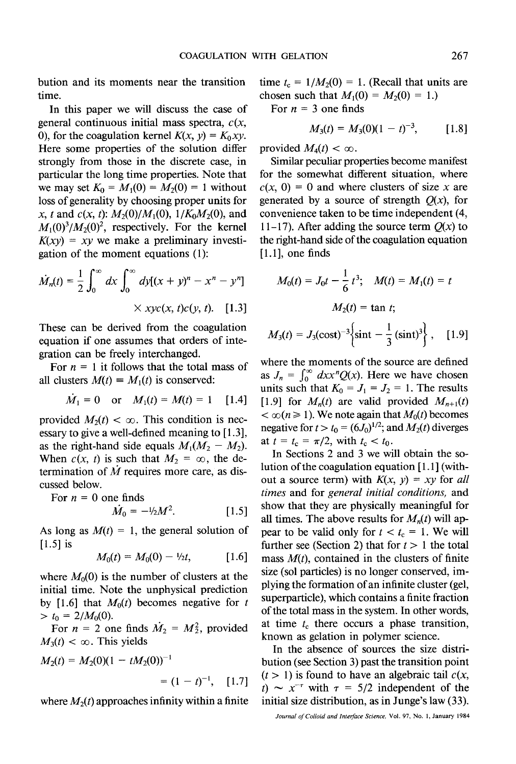bution and its moments near the transition time.

In this paper we will discuss the case of general continuous initial mass spectra, *c(x,*  0), for the coagulation kernel  $K(x, y) = K_0 xy$ . Here some properties of the solution differ strongly from those in the discrete case, in particular the long time properties. Note that we may set  $K_0 = M_1(0) = M_2(0) = 1$  without loss of generality by choosing proper units for x, t and  $c(x, t)$ :  $M_2(0)/M_1(0)$ ,  $1/K_0M_2(0)$ , and  $M_1(0)^3/M_2(0)^2$ , respectively. For the kernel  $K(xy) = xy$  we make a preliminary investigation of the moment equations (1):

$$
\dot{M}_n(t) = \frac{1}{2} \int_0^\infty dx \int_0^\infty dy [(x+y)^n - x^n - y^n]
$$
  
 
$$
\times xyc(x, t)c(y, t). \quad [1.3]
$$

These can be derived from the coagulation equation if one assumes that orders of integration can be freely interchanged.

For  $n = 1$  it follows that the total mass of all clusters  $M(t) = M_1(t)$  is conserved:

$$
\dot{M}_1 = 0 \quad \text{or} \quad M_1(t) = M(t) = 1 \quad [1.4]
$$

provided  $M_2(t) < \infty$ . This condition is necessary to give a well-defined meaning to [1.3], as the right-hand side equals  $M_1(M_2 - M_2)$ . When  $c(x, t)$  is such that  $M_2 = \infty$ , the determination of  $\dot{M}$  requires more care, as discussed below.

For  $n = 0$  one finds

$$
\dot{M}_0 = -\frac{1}{2}M^2. \tag{1.5}
$$

As long as  $M(t) = 1$ , the general solution of [1.5] is

$$
M_0(t) = M_0(0) - \frac{1}{2}t, \qquad [1.6]
$$

where  $M_0(0)$  is the number of clusters at the initial time. Note the unphysical prediction by [1.6] that  $M_0(t)$  becomes negative for t  $> t_0 = 2/M_0(0).$ 

For  $n = 2$  one finds  $\dot{M}_2 = M_2^2$ , provided  $M_3(t) < \infty$ . This yields

$$
M_2(t) = M_2(0)(1 - tM_2(0))^{-1}
$$
  
=  $(1 - t)^{-1}$ , [1.7]

where  $M_2(t)$  approaches infinity within a finite

time  $t_c = 1/M_2(0) = 1$ . (Recall that units are chosen such that  $M_1(0) = M_2(0) = 1.$ 

For  $n = 3$  one finds

$$
M_3(t) = M_3(0)(1-t)^{-3}, \qquad [1.8]
$$

provided  $M_4(t) < \infty$ .

Similar peculiar properties become manifest for the somewhat different situation, where  $c(x, 0) = 0$  and where clusters of size x are generated by a source of strength  $O(x)$ , for convenience taken to be time independent (4, 11-17). After adding the source term  $O(x)$  to the fight-hand side of the coagulation equation  $[1.1]$ , one finds

$$
M_0(t) = J_0 t - \frac{1}{6} t^3; \quad M(t) = M_1(t) = t
$$

$$
M_2(t) = \tan t;
$$

$$
M_3(t) = J_3(\text{cost})^{-3} \left\{ \sin t - \frac{1}{3} (\text{sin} t)^3 \right\}, \quad [1.9]
$$

where the moments of the source are defined as  $J_n = \int_0^\infty dx x^n Q(x)$ . Here we have chosen units such that  $K_0 = J_1 = J_2 = 1$ . The results [1.9] for  $M_n(t)$  are valid provided  $M_{n+1}(t)$  $< \infty (n \ge 1)$ . We note again that  $M_0(t)$  becomes negative for  $t > t_0 = (6J_0)^{1/2}$ ; and  $M_2(t)$  diverges at  $t = t_c = \pi/2$ , with  $t_c < t_0$ .

In Sections 2 and 3 we will obtain the solution of the coagulation equation [1.1] (without a source term) with  $K(x, y) = xy$  for *all times* and for *general initial conditions,* and show that they are physically meaningful for all times. The above results for  $M_n(t)$  will appear to be valid only for  $t < t_c = 1$ . We will further see (Section 2) that for  $t > 1$  the total mass *M(t),* contained in the clusters of finite size (sol particles) is no longer conserved, implying the formation of an infinite cluster (gel, superparticle), which contains a finite fraction of the total mass in the system. In other words, at time  $t_c$  there occurs a phase transition, known as gelation in polymer science.

In the absence of sources the size distribution (see Section 3) past the transition point  $(t > 1)$  is found to have an algebraic tail  $c(x, t)$ t)  $\sim x^{-\tau}$  with  $\tau = 5/2$  independent of the initial size distribution, as in Junge's law (33).

*Journal of Colloid and Interface Science,* Vol. 97, No. 1, January 1984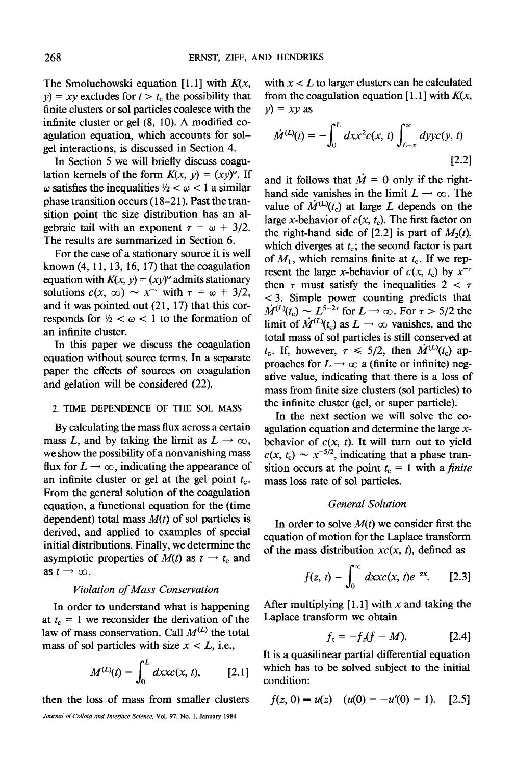The Smoluchowski equation [1.1] with *K(x,*   $y = xy$  excludes for  $t > t_c$  the possibility that finite clusters or sol particles coalesce with the infinite cluster or gel (8, 10). A modified coagulation equation, which accounts for solgel interactions, is discussed in Section 4.

In Section 5 we will briefly discuss coagulation kernels of the form  $K(x, y) = (xy)^{\omega}$ . If  $\omega$  satisfies the inequalities  $\frac{1}{2} < \omega < 1$  a similar phase transition occurs (18-21). Past the transition point the size distribution has an algebraic tail with an exponent  $\tau = \omega + 3/2$ . The results are summarized in Section 6.

For the case of a stationary source it is well known  $(4, 11, 13, 16, 17)$  that the coagulation equation with  $K(x, y) = (xy)^\omega$  admits stationary solutions  $c(x, \infty) \sim x^{-r}$  with  $\tau = \omega + 3/2$ , and it was pointed out (21, 17) that this corresponds for  $\frac{1}{2} < \omega < 1$  to the formation of an infinite cluster.

In this paper we discuss the coagulation equation without source terms. In a separate paper the effects of sources on coagulation and gelation will be considered (22).

## 2. TIME DEPENDENCE OF THE SOL MASS

By calculating the mass flux across a certain mass L, and by taking the limit as  $L \rightarrow \infty$ , we show the possibility of a nonvanishing mass flux for  $L \rightarrow \infty$ , indicating the appearance of an infinite cluster or gel at the gel point  $t_c$ . From the general solution of the coagulation equation, a functional equation for the (time dependent) total mass *M(t)* of sol particles is derived, and applied to examples of special initial distributions. Finally, we determine the asymptotic properties of  $M(t)$  as  $t \rightarrow t_c$  and as  $t \rightarrow \infty$ .

#### *Violation of Mass Conservation*

In order to understand what is happening at  $t_c = 1$  we reconsider the derivation of the law of mass conservation. Call  $M^{(L)}$  the total mass of sol particles with size  $x < L$ , i.e.,

$$
M^{(L)}(t) = \int_0^L dx x c(x, t),
$$
 [2.1]

then the loss of mass from smaller clusters

```
Journal of Colloid and Interface Science, Vol. 97, No. 1, January 1984
```
with  $x < L$  to larger clusters can be calculated from the coagulation equation  $[1.1]$  with  $K(x, \cdot)$  $y$ *) = xy* as

$$
\dot{M}^{(L)}(t) = -\int_0^L dx x^2 c(x, t) \int_{L-x}^\infty dy y c(y, t)
$$
\n[2.2]

and it follows that  $\dot{M} = 0$  only if the righthand side vanishes in the limit  $L \rightarrow \infty$ . The value of  $\dot{M}^{(L)}(t_c)$  at large L depends on the large x-behavior of  $c(x, t_c)$ . The first factor on the right-hand side of [2.2] is part of  $M_2(t)$ , which diverges at  $t_c$ ; the second factor is part of  $M_1$ , which remains finite at  $t_c$ . If we represent the large x-behavior of  $c(x, t_c)$  by  $x^{-\tau}$ then  $\tau$  must satisfy the inequalities  $2 < \tau$ < 3. Simple power counting predicts that  $\dot{M}^{(L)}(t_c) \sim L^{5-2\tau}$  for  $L \to \infty$ . For  $\tau > 5/2$  the limit of  $\dot{M}^{(L)}(t_c)$  as  $L \rightarrow \infty$  vanishes, and the total mass of sol particles is still conserved at  $t_c$ . If, however,  $\tau \leq 5/2$ , then  $\dot{M}^{(L)}(t_c)$  approaches for  $L \rightarrow \infty$  a (finite or infinite) negative value, indicating that there is a loss of mass from finite size clusters (sol particles) to the infinite cluster (gel, or super particle).

In the next section we will solve the coagulation equation and determine the large xbehavior of  $c(x, t)$ . It will turn out to yield  $c(x, t_c) \sim x^{-5/2}$ , indicating that a phase transition occurs at the point  $t_c = 1$  with a *finite* mass loss rate of sol particles.

#### *General Solution*

In order to solve *M(t)* we consider first the equation of motion for the Laplace transform of the mass distribution  $xc(x, t)$ , defined as

$$
f(z, t) = \int_0^\infty dx x c(x, t) e^{-zx}.
$$
 [2.3]

After multiplying  $[1.1]$  with x and taking the Laplace transform we obtain

$$
f_{\rm t} = -f_{z}(f-M). \qquad \qquad [2.4]
$$

It is a quasilinear partial differential equation which has to be solved subject to the initial condition:

$$
f(z, 0) = u(z) \quad (u(0) = -u'(0) = 1). \quad [2.5]
$$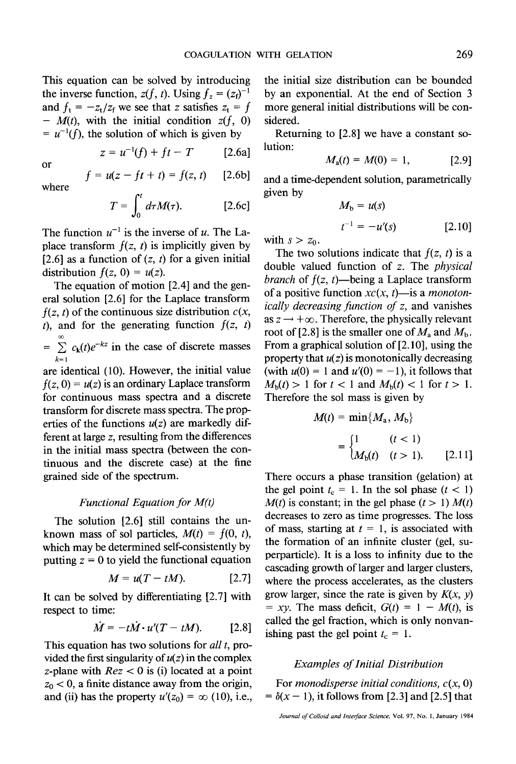This equation can be solved by introducing the inverse function,  $z(f, t)$ . Using  $f_z = (z_f)^{-1}$ and  $f_t = -z_t/z_f$  we see that z satisfies  $z_t = f$ -  $M(t)$ , with the initial condition  $z(f, 0)$  $= u^{-1}(f)$ , the solution of which is given by

$$
z = u^{-1}(f) + ft - T \qquad [2.6a]
$$

or

where

$$
f = u(z - ft + t) = f(z, t) \quad [2.6b]
$$

$$
T = \int_0^t d\tau M(\tau). \qquad [2.6c]
$$

The function  $u^{-1}$  is the inverse of u. The Laplace transform  $f(z, t)$  is implicitly given by [2.6] as a function of  $(z, t)$  for a given initial distribution  $f(z, 0) = u(z)$ .

The equation of motion [2.4] and the general solution [2.6] for the Laplace transform  $f(z, t)$  of the continuous size distribution  $c(x, t)$ t), and for the generating function  $f(z, t)$ oo  $= \sum_{k=1}^{\infty} c_k(t)e^{-kz}$  in the case of discrete masses  $\overline{k=1}$ 

are identical (10). However, the initial value  $f(z, 0) = u(z)$  is an ordinary Laplace transform for continuous mass spectra and a discrete transform for discrete mass spectra. The properties of the functions  $u(z)$  are markedly different at large z, resulting from the differences in the initial mass spectra (between the continuous and the discrete case) at the fine grained side of the spectrum.

## *Functional Equation for M(t)*

The solution [2.6] still contains the unknown mass of sol particles,  $M(t) = f(0, t)$ , which may be determined self-consistently by putting  $z = 0$  to yield the functional equation

$$
M = u(T - tM). \qquad [2.7]
$$

It can be solved by differentiating [2.7] with respect to time:

$$
\dot{M} = -t\dot{M} \cdot u'(T - tM). \qquad [2.8]
$$

This equation has two solutions for *all t,* provided the first singularity of  $u(z)$  in the complex z-plane with  $Rez < 0$  is (i) located at a point  $z_0$  < 0, a finite distance away from the origin, and (ii) has the property  $u'(z_0) = \infty$  (10), i.e., the initial size distribution can be bounded by an exponential. At the end of Section 3 more general initial distributions will be considered.

Returning to [2.8] we have a constant solution:

$$
M_a(t) = M(0) = 1, \qquad [2.9]
$$

and a time-dependent solution, parametrically given by

$$
M_{b} = u(s)
$$
  
\n
$$
t^{-1} = -u'(s)
$$
 [2.10]

with  $s > z_0$ .

The two solutions indicate that  $f(z, t)$  is a double valued function of z. The *physical branch* of  $f(z, t)$ —being a Laplace transform of a positive function  $xc(x, t)$ —is a *monotonically decreasing function of z,* and vanishes as  $z \rightarrow +\infty$ . Therefore, the physically relevant root of [2.8] is the smaller one of  $M_a$  and  $M_b$ . From a graphical solution of [2.10], using the property that  $u(z)$  is monotonically decreasing (with  $u(0) = 1$  and  $u'(0) = -1$ ), it follows that  $M_{\rm b}(t) > 1$  for  $t < 1$  and  $M_{\rm b}(t) < 1$  for  $t > 1$ . Therefore the sol mass is given by

$$
M(t) = \min\{M_a, M_b\}
$$
  
= 
$$
\begin{cases} 1 & (t < 1) \\ M_b(t) & (t > 1). \end{cases}
$$
 [2.11]

There occurs a phase transition (gelation) at the gel point  $t_c = 1$ . In the sol phase  $(t < 1)$  $M(t)$  is constant; in the gel phase  $(t > 1)$   $M(t)$ decreases to zero as time progresses. The loss of mass, starting at  $t = 1$ , is associated with the formation of an infinite cluster (gel, superparticle). It is a loss to infinity due to the cascading growth of larger and larger clusters, where the process accelerates, as the clusters grow larger, since the rate is given by  $K(x, y)$  $= xy$ . The mass deficit,  $G(t) = 1 - M(t)$ , is called the gel fraction, which is only nonvanishing past the gel point  $t_c = 1$ .

#### *Examples of Initial Distribution*

For *monodisperse initial conditions, c(x, O)*   $= \delta(x - 1)$ , it follows from [2.3] and [2.5] that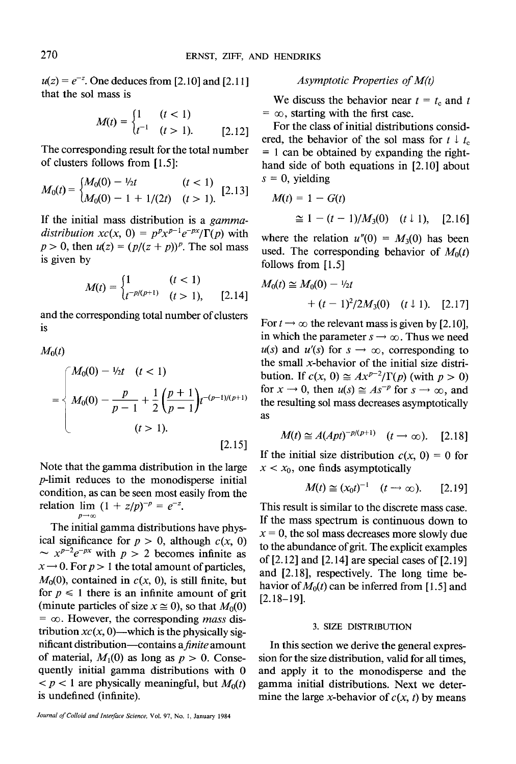$u(z) = e^{-z}$ . One deduces from [2.10] and [2.11] that the sol mass is

$$
M(t) = \begin{cases} 1 & (t < 1) \\ t^{-1} & (t > 1). \end{cases} \tag{2.12}
$$

The corresponding result for the total number of clusters follows from [1.5]:

$$
M_0(t) = \begin{cases} M_0(0) - \frac{1}{2}t & (t < 1) \\ M_0(0) - 1 + \frac{1}{2}t & (t > 1). \end{cases} \tag{2.13}
$$

If the initial mass distribution is a *gammadistribution*  $xc(x, 0) = p^p x^{p-1} e^{-px} / \Gamma(p)$  with  $p > 0$ , then  $u(z) = (p/(z + p))^p$ . The sol mass is given by

$$
M(t) = \begin{cases} 1 & (t < 1) \\ t^{-p/(p+1)} & (t > 1), \end{cases} \tag{2.14}
$$

and the corresponding total number of clusters is

 $M_0(t)$  $\begin{cases}\nM_0(0) - \frac{1}{2t} & (t < 1) \\
M_0(0) - \frac{p}{p-1} + \frac{1}{2}\n\end{cases}$  $=\left\{\right. M_0(0) - \frac{p}{n-1} + \frac{1}{2} \left( \frac{p+1}{n-1} \right) t^{-(p-1)/(p+1)}$  $(t > 1)$ . [2.15]

Note that the gamma distribution in the large p-limit reduces to the monodisperse initial condition, as can be seen most easily from the relation  $\lim_{p \to \infty} (1 + z/p)^{-p} = e^{-z}$ .

The initial gamma distributions have physical significance for  $p > 0$ , although  $c(x, 0)$  $\sim x^{p-2}e^{-px}$  with  $p > 2$  becomes infinite as  $x \rightarrow 0$ . For  $p > 1$  the total amount of particles,  $M_0(0)$ , contained in  $c(x, 0)$ , is still finite, but for  $p \leq 1$  there is an infinite amount of grit (minute particles of size  $x \approx 0$ ), so that  $M_0(0)$  $=$   $\infty$ . However, the corresponding *mass* distribution  $xc(x, 0)$ —which is the physically significant distribution--contains *afinite* amount of material,  $M_1(0)$  as long as  $p > 0$ . Consequently initial gamma distributions with 0  $p < 1$  are physically meaningful, but  $M_0(t)$ is undefined (infinite).

## *Asymptotic Properties of M(t)*

We discuss the behavior near  $t = t_c$  and t  $=$   $\infty$ , starting with the first case.

For the class of initial distributions considered, the behavior of the sol mass for  $t \downarrow t_c$  $= 1$  can be obtained by expanding the righthand side of both equations in [2.10] about  $s = 0$ , yielding

$$
M(t) = 1 - G(t)
$$
  
\n
$$
\approx 1 - (t - 1)/M_3(0) \quad (t \downarrow 1), \quad [2.16]
$$

where the relation  $u''(0) = M_3(0)$  has been used. The corresponding behavior of  $M_0(t)$ follows from [1.5]

$$
M_0(t) \cong M_0(0) - \frac{1}{2}t
$$
  
+  $(t-1)^2/2M_3(0)$   $(t \downarrow 1)$ . [2.17]

For  $t \rightarrow \infty$  the relevant mass is given by [2.10], in which the parameter  $s \rightarrow \infty$ . Thus we need  $u(s)$  and  $u'(s)$  for  $s \to \infty$ , corresponding to the small x-behavior of the initial size distribution. If  $c(x, 0) \approx Ax^{p-2}/\Gamma(p)$  (with  $p > 0$ ) for  $x \to 0$ , then  $u(s) \approx As^{-p}$  for  $s \to \infty$ , and the resulting sol mass decreases asymptotically as

$$
M(t) \cong A(Apt)^{-p/(p+1)} \quad (t \to \infty). \quad [2.18]
$$

If the initial size distribution  $c(x, 0) = 0$  for  $x < x_0$ , one finds asymptotically

$$
M(t) \cong (x_0 t)^{-1} \quad (t \to \infty). \qquad [2.19]
$$

This result is similar to the discrete mass case. If the mass spectrum is continuous down to  $x = 0$ , the sol mass decreases more slowly due to the abundance of grit. The explicit examples of [2.12] and [2.14] are special cases of [2.19] and [2.18], respectively. The long time behavior of  $M_0(t)$  can be inferred from [1.5] and  $[2.18-19]$ .

#### 3. SIZE DISTRIBUTION

In this section we derive the general expression for the size distribution, valid for all times, and apply it to the monodisperse and the gamma initial distributions. Next we determine the large x-behavior of  $c(x, t)$  by means

*Journal of Colloid and Interface Science,* Vol. 97, No. I, January 1984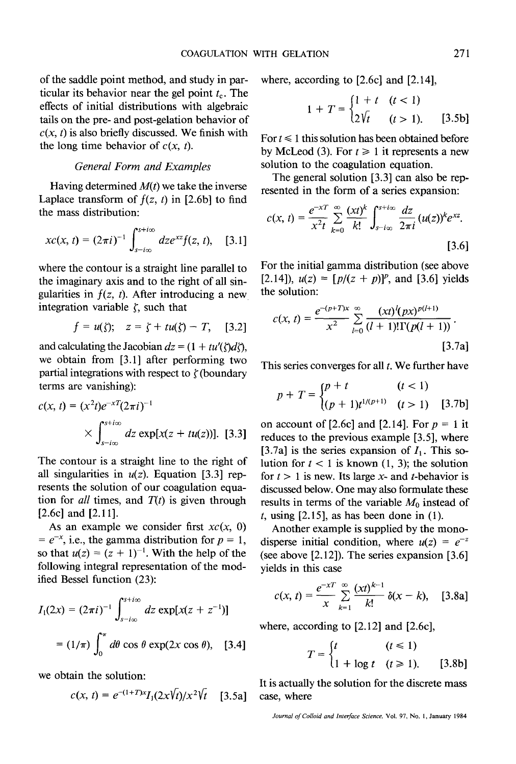of the saddle point method, and study in particular its behavior near the gel point  $t_c$ . The effects of initial distributions with algebraic tails on the pre- and post-gelation behavior of  $c(x, t)$  is also briefly discussed. We finish with the long time behavior of  $c(x, t)$ .

## *General Form and Examples*

Having determined *M(t)* we take the inverse Laplace transform of  $f(z, t)$  in [2.6b] to find the mass distribution:

$$
xc(x, t) = (2\pi i)^{-1} \int_{s-i\infty}^{s+i\infty} dz e^{xz} f(z, t), \quad [3.1]
$$

where the contour is a straight line parallel to the imaginary axis and to the right of all singularities in  $f(z, t)$ . After introducing a new integration variable  $\zeta$ , such that

$$
f = u(\zeta); \quad z = \zeta + tu(\zeta) - T, \quad [3.2]
$$

and calculating the Jacobian  $dz = (1 + tu'(\zeta)d\zeta)$ , we obtain from [3.1] after performing two partial integrations with respect to  $\zeta$  (boundary terms are vanishing):

$$
c(x, t) = (x^{2}t)e^{-xT}(2\pi i)^{-1}
$$
  
 
$$
\times \int_{s-i\infty}^{s+i\infty} dz \exp[x(z + tu(z))]. \quad [3.3]
$$

The contour is a straight line to the right of all singularities in  $u(z)$ . Equation [3.3] represents the solution of our coagulation equation for *all* times, and  $T(t)$  is given through [2.6c] and [2.11].

As an example we consider first  $xc(x, 0)$  $= e^{-x}$ , i.e., the gamma distribution for  $p = 1$ , so that  $u(z) = (z + 1)^{-1}$ . With the help of the following integral representation of the modified Bessel function (23):

$$
I_1(2x) = (2\pi i)^{-1} \int_{s-i\infty}^{s+i\infty} dz \exp[x(z+z^{-1})]
$$

$$
= (1/\pi) \int_0^{\pi} d\theta \cos \theta \exp(2x \cos \theta), \quad [3.4]
$$

we obtain the solution:

$$
c(x, t) = e^{-(1+T)x} I_1(2x\sqrt{t})/x^2\sqrt{t} \quad [3.5a]
$$

where, according to [2.6c] and [2.14],

$$
1 + T = \begin{cases} 1 + t & (t < 1) \\ 2\sqrt{t} & (t > 1). \end{cases}
$$
 [3.5b]

For  $t \leq 1$  this solution has been obtained before by McLeod (3). For  $t \ge 1$  it represents a new solution to the coagulation equation.

The general solution [3.3] can also be represented in the form of a series expansion:

$$
c(x, t) = \frac{e^{-xT}}{x^2t} \sum_{k=0}^{\infty} \frac{(xt)^k}{k!} \int_{s-i\infty}^{s+i\infty} \frac{dz}{2\pi i} (u(z))^k e^{xz}.
$$
 [3.6]

For the initial gamma distribution (see above [2.14]),  $u(z) = [p/(z + p)]^p$ , and [3.6] yields the solution:

$$
c(x, t) = \frac{e^{-(p+T)x}}{x^2} \sum_{l=0}^{\infty} \frac{(xt)^l (px)^{p(l+1)}}{(l+1)!\Gamma(p(l+1))}.
$$
\n[3.7a]

This series converges for all  $t$ . We further have

$$
p + T = \begin{cases} p + t & (t < 1) \\ (p + 1)t^{1/(p+1)} & (t > 1) \end{cases} \tag{3.7b}
$$

on account of [2.6c] and [2.14]. For  $p = 1$  it reduces to the previous example [3.5], where [3.7a] is the series expansion of  $I_1$ . This solution for  $t < 1$  is known  $(1, 3)$ ; the solution for  $t > 1$  is new. Its large x- and t-behavior is discussed below. One may also formulate these results in terms of the variable  $M_0$  instead of  $t$ , using [2.15], as has been done in (1).

Another example is supplied by the monodisperse initial condition, where  $u(z) = e^{-z}$ (see above [2.12]). The series expansion [3.6] yields in this case

$$
c(x, t) = \frac{e^{-xT}}{x} \sum_{k=1}^{\infty} \frac{(xt)^{k-1}}{k!} \delta(x - k), \quad [3.8a]
$$

where, according to [2.12] and [2.6c],

$$
T = \begin{cases} t & (t \le 1) \\ 1 + \log t & (t \ge 1). \end{cases} \tag{3.8b}
$$

It is actually the solution for the discrete mass case, where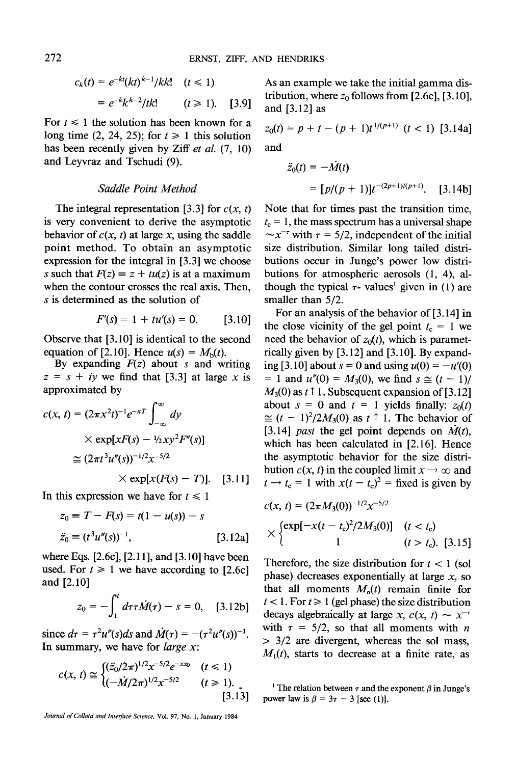$$
c_k(t) = e^{-k(t)}e^{-k(t)^{k-1}/kk!} \quad (t \le 1)
$$
  
= 
$$
e^{-k}k^{k-2}/tk! \quad (t \ge 1). \quad [3.9]
$$

For  $t \leq 1$  the solution has been known for a long time (2, 24, 25); for  $t \ge 1$  this solution has been recently given by Ziff *et al.* (7, 10) and Leyvraz and Tschudi (9).

## *Saddle Point Method*

The integral representation [3.3] for  $c(x, t)$ is very convenient to derive the asymptotic behavior of  $c(x, t)$  at large x, using the saddle point method. To obtain an asymptotic expression for the integral in [3.3] we choose s such that  $F(z) = z + tu(z)$  is at a maximum when the contour crosses the real axis. Then, s is determined as the solution of

$$
F'(s) = 1 + tu'(s) = 0. \qquad [3.10]
$$

Observe that [3.10] is identical to the second equation of [2.10]. Hence  $u(s) = M<sub>b</sub>(t)$ .

By expanding  $F(z)$  about s and writing  $z = s + iy$  we find that [3.3] at large x is approximated by

$$
c(x, t) = (2\pi x^2 t)^{-1} e^{-xT} \int_{-\infty}^{\infty} dy
$$
  
 
$$
\times \exp[xF(s) - \frac{1}{2}xy^2 F''(s)]
$$
  
 
$$
\approx (2\pi t^3 u''(s))^{-1/2} x^{-5/2}
$$
  
 
$$
\times \exp[x(F(s) - T)].
$$
 [3.11]

In this expression we have for  $t \leq 1$ 

$$
z_0 \equiv T - F(s) = t(1 - u(s)) - s
$$
  
\n
$$
\ddot{z}_0 \equiv (t^3 u''(s))^{-1},
$$
\n[3.12a]

where Eqs. [2.6c], [2.11], and [3.10] have been used. For  $t \ge 1$  we have according to [2.6c] and [2.10]

$$
z_0 = -\int_1^t d\tau \dot{M}(\tau) - s = 0, \quad [3.12b]
$$

since  $d\tau = \tau^2 u''(s) ds$  and  $\dot{M}(\tau) = -(\tau^2 u''(s))^{-1}$ . In summary, we have for *large x:* 

$$
c(x, t) \cong \begin{cases} (\ddot{z}_0/2\pi)^{1/2} x^{-5/2} e^{-xz_0} & (t \le 1) \\ (-\dot{M}/2\pi)^{1/2} x^{-5/2} & (t \ge 1). \end{cases} \tag{3.13}
$$

*Journal of Colloid and Interface Science,* Vol. 97, No. 1, January 1984

As an example we take the initial gamma distribution, where  $z_0$  follows from [2.6c], [3.10], and [3.12] as

$$
z_0(t) = p + t - (p + 1)t^{1/(p+1)} \ (t < 1) \ [3.14a]
$$
\nand

$$
\ddot{z}_0(t) = -\dot{M}(t)
$$
  
=  $\left[p/(p+1)\right]t^{-(2p+1)/(p+1)}$ . [3.14b]

Note that for times past the transition time,  $t_c = 1$ , the mass spectrum has a universal shape  $\sim x^{-\tau}$  with  $\tau = 5/2$ , independent of the initial size distribution. Similar long tailed distributions occur in Junge's power low distributions for atmospheric aerosols (1, 4), although the typical  $\tau$ - values<sup>1</sup> given in (1) are smaller than  $5/2$ .

For an analysis of the behavior of [3.14] in the close vicinity of the gel point  $t_c = 1$  we need the behavior of  $z_0(t)$ , which is parametrically given by [3.12] and [3.10]. By expanding [3.10] about  $s = 0$  and using  $u(0) = -u'(0)$  $= 1$  and  $u''(0) = M_3(0)$ , we find  $s \approx (t - 1)/$  $M_3(0)$  as t 1. Subsequent expansion of [3.12] about  $s = 0$  and  $t = 1$  yields finally:  $z_0(t)$  $\approx (t - 1)^2/2M_3(0)$  as  $t \uparrow 1$ . The behavior of [3.14] *past* the gel point depends on  $\dot{M}(t)$ , which has been calculated in [2.16]. Hence the asymptotic behavior for the size distribution  $c(x, t)$  in the coupled limit  $x \rightarrow \infty$  and  $t \rightarrow t_c = 1$  with  $x(t - t_c)^2$  = fixed is given by

$$
c(x, t) = (2\pi M_3(0))^{-1/2} x^{-5/2}
$$
  
 
$$
\times \begin{cases} \exp[-x(t - t_c)^2 / 2M_3(0)] & (t < t_c) \\ 1 & (t > t_c). \end{cases}
$$
 [3.15]

Therefore, the size distribution for  $t < 1$  (sol phase) decreases exponentially at large  $x$ , so that all moments  $M_n(t)$  remain finite for  $t < 1$ . For  $t \ge 1$  (gel phase) the size distribution decays algebraically at large *x*,  $c(x, t) \sim x^{-t}$ with  $\tau = 5/2$ , so that all moments with *n*  $> 3/2$  are divergent, whereas the sol mass,  $M_1(t)$ , starts to decrease at a finite rate, as

<sup>1</sup> The relation between  $\tau$  and the exponent  $\beta$  in Junge's power law is  $\beta = 3\tau - 3$  [see (1)].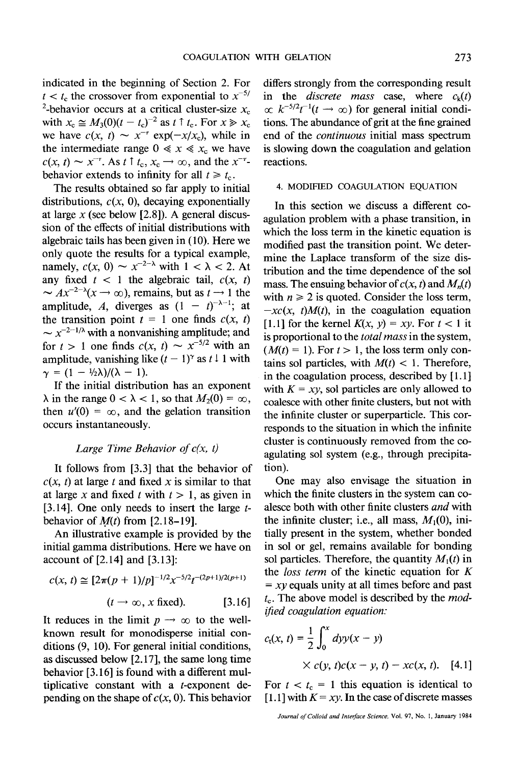indicated in the beginning of Section 2. For  $t < t_c$  the crossover from exponential to  $x^{-5/2}$ <sup>2</sup>-behavior occurs at a critical cluster-size  $x_c$ with  $x_c \approx M_3(0)(t - t_c)^{-2}$  as  $t \uparrow t_c$ . For  $x \gg x_c$ we have  $c(x, t) \sim x^{-\tau} \exp(-x/x_c)$ , while in the intermediate range  $0 \ll x \ll x_c$  we have  $c(x, t) \sim x^{-\tau}$ . As  $t \uparrow t_c, x_c \rightarrow \infty$ , and the  $x^{-\tau}$ behavior extends to infinity for all  $t \geq t_{c}$ .

The results obtained so far apply to initial distributions,  $c(x, 0)$ , decaying exponentially at large  $x$  (see below [2.8]). A general discussion of the effects of initial distributions with algebraic tails has been given in (10). Here we only quote the results for a typical example, namely,  $c(x, 0) \sim x^{-2-\lambda}$  with  $1 < \lambda < 2$ . At any fixed  $t < 1$  the algebraic tail,  $c(x, t)$  $\sim Ax^{-2-\lambda}(x \to \infty)$ , remains, but as  $t \to 1$  the amplitude, A, diverges as  $(1 - t)^{-\lambda - 1}$ ; at the transition point  $t = 1$  one finds  $c(x, t)$  $\sim x^{-2-1/\lambda}$  with a nonvanishing amplitude; and for  $t > 1$  one finds  $c(x, t) \sim x^{-5/2}$  with an amplitude, vanishing like  $(t - 1)^\gamma$  as  $t \downarrow 1$  with  $\gamma = (1 - \frac{1}{2}\lambda)/(\lambda - 1).$ 

If the initial distribution has an exponent  $\lambda$  in the range  $0 < \lambda < 1$ , so that  $M_2(0) = \infty$ , then  $u'(0) = \infty$ , and the gelation transition occurs instantaneously.

### *Large Time Behavior of c(x, t)*

It follows from [3.3] that the behavior of  $c(x, t)$  at large t and fixed x is similar to that at large x and fixed t with  $t > 1$ , as given in [3.14]. One only needs to insert the large  $t$ behavior of  $M(t)$  from [2.18-19].

An illustrative example is provided by the initial gamma distributions. Here we have on account of [2.14] and [3.13]:

$$
c(x, t) \cong [2\pi (p + 1)/p]^{-1/2} x^{-5/2} t^{-(2p+1)/2(p+1)}
$$
  
( $t \to \infty$ , x fixed). [3.16]

It reduces in the limit  $p \rightarrow \infty$  to the wellknown result for monodisperse initial conditions (9, 10). For general initial conditions, as discussed below [2.17], the same long time behavior [3.16] is found with a different multiplicative constant with a t-exponent depending on the shape of  $c(x, 0)$ . This behavior differs strongly from the corresponding result in the *discrete mass* case, where  $c<sub>k</sub>(t)$  $\propto k^{-5/2}t^{-1}(t \to \infty)$  for general initial conditions. The abundance of grit at the fine grained end of the *continuous* initial mass spectrum is slowing down the coagulation and gelation reactions.

#### 4. MODIFIED COAGULATION EQUATION

In this section we discuss a different coagulation problem with a phase transition, in which the loss term in the kinetic equation is modified past the transition point. We determine the Laplace transform of the size distribution and the time dependence of the sol mass. The ensuing behavior of  $c(x, t)$  and  $M_n(t)$ with  $n \geq 2$  is quoted. Consider the loss term,  $-xc(x, t)M(t)$ , in the coagulation equation [1.1] for the kernel  $K(x, y) = xy$ . For  $t < 1$  it is proportional to the *total mass* in the system,  $(M(t) = 1)$ . For  $t > 1$ , the loss term only contains sol particles, with  $M(t) < 1$ . Therefore, in the coagulation process, described by [1.1 ] with  $K = xy$ , sol particles are only allowed to coalesce with other finite clusters, but not with the infinite cluster or superparticle. This corresponds to the situation in which the infinite cluster is continuously removed from the coagulating sol system (e.g., through precipitation).

One may also envisage the situation in which the finite clusters in the system can coalesce both with other finite clusters *and* with the infinite cluster; i.e., all mass,  $M_1(0)$ , initially present in the system, whether bonded in sol or gel, remains available for bonding sol particles. Therefore, the quantity  $M_1(t)$  in the *loss term* of the kinetic equation for K *= xy* equals unity at all times before and past  $t_c$ . The above model is described by the *modified coagulation equation:* 

$$
c_{t}(x, t) = \frac{1}{2} \int_{0}^{x} dy y(x - y)
$$
  
×  $c(y, t)c(x - y, t) - xc(x, t)$ . [4.1]

For  $t < t_c = 1$  this equation is identical to  $[1.1]$  with  $K = xy$ . In the case of discrete masses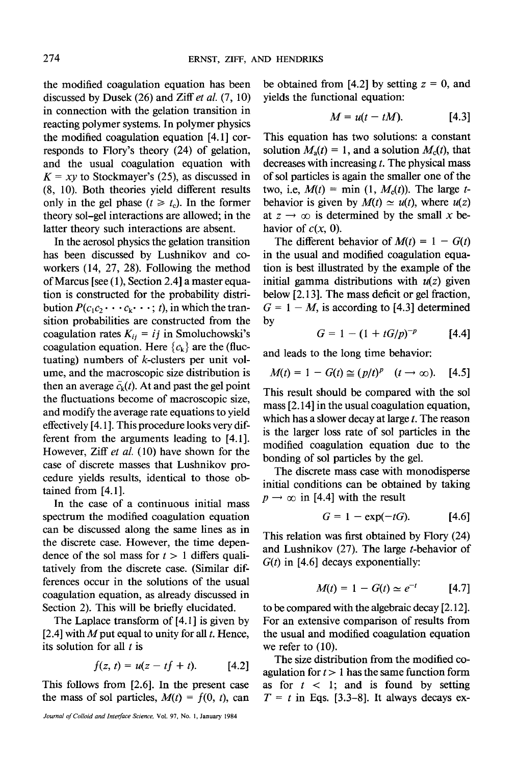the modified coagulation equation has been discussed by Dusek (26) and Ziff et al. (7, 10) in connection with the gelation transition in reacting polymer systems. In polymer physics the modified coagulation equation [4.1] corresponds to Flory's theory (24) of gelation, and the usual coagulation equation with  $K = xy$  to Stockmayer's (25), as discussed in (8, 10). Both theories yield different results only in the gel phase  $(t \geq t_c)$ . In the former theory sol-gel interactions are allowed; in the latter theory such interactions are absent.

In the aerosol physics the gelation transition has been discussed by Lushnikov and coworkers (14, 27, 28). Following the method of Marcus [see (1), Section 2.4] a master equation is constructed for the probability distribution  $P(c_1c_2 \cdots c_k \cdots; t)$ , in which the transition probabilities are constructed from the coagulation rates  $K_{ij} = ij$  in Smoluchowski's coagulation equation. Here  $\{c_k\}$  are the (fluctuating) numbers of k-clusters per unit volume, and the macroscopic size distribution is then an average  $\bar{c}_k(t)$ . At and past the gel point the fluctuations become of macroscopic size, and modify the average rate equations to yield effectively [4.1 ]. This procedure looks very different from the arguments leading to [4.1]. However, Ziff *et aL* (10) have shown for the case of discrete masses that Lushnikov procedure yields results, identical to those obtained from [4.1].

In the case of a continuous initial mass spectrum the modified coagulation equation can be discussed along the same lines as in the discrete case. However, the time dependence of the sol mass for  $t > 1$  differs qualitatively from the discrete case. (Similar differences occur in the solutions of the usual coagulation equation, as already discussed in Section 2). This will be briefly elucidated.

The Laplace transform of [4.1] is given by [2.4] with M put equal to unity for all  $t$ . Hence, its solution for all  $t$  is

$$
f(z, t) = u(z - tf + t). \qquad [4.2]
$$

This follows from [2.6]. In the present case the mass of sol particles,  $M(t) = f(0, t)$ , can

*Journal of Colloid and Interface Science,* Vol. 97, No. 1, January 1984

be obtained from [4.2] by setting  $z = 0$ , and yields the functional equation:

$$
M = u(t - tM). \qquad [4.3]
$$

This equation has two solutions: a constant solution  $M_a(t) = 1$ , and a solution  $M_c(t)$ , that decreases with increasing  $t$ . The physical mass of sol particles is again the smaller one of the two, i.e,  $M(t) = \min(1, M_c(t))$ . The large tbehavior is given by  $M(t) \simeq u(t)$ , where  $u(z)$ at  $z \rightarrow \infty$  is determined by the small x behavior of  $c(x, 0)$ .

The different behavior of  $M(t) = 1 - G(t)$ in the usual and modified coagulation equation is best illustrated by the example of the initial gamma distributions with  $u(z)$  given below [2.13]. The mass deficit or gel fraction,  $G = 1 - M$ , is according to [4.3] determined by

$$
G = 1 - (1 + tG/p)^{-p} \qquad [4.4]
$$

and leads to the long time behavior:

$$
M(t) = 1 - G(t) \cong (p/t)^p \quad (t \to \infty). \quad [4.5]
$$

This result should be compared with the sol mass [2.14] in the usual coagulation equation, which has a slower decay at large  $t$ . The reason is the larger loss rate of sol particles in the modified coagulation equation due to the bonding of sol particles by the gel.

The discrete mass case with monodisperse initial conditions can be obtained by taking  $p \rightarrow \infty$  in [4.4] with the result

$$
G = 1 - \exp(-tG). \tag{4.6}
$$

This relation was first obtained by Hory (24) and Lushnikov  $(27)$ . The large *t*-behavior of  $G(t)$  in [4.6] decays exponentially:

$$
M(t) = 1 - G(t) \simeq e^{-t} \qquad [4.7]
$$

to be compared with the algebraic decay [2.12]. For an extensive comparison of results from the usual and modified coagulation equation we refer to (10).

The size distribution from the modified coagulation for  $t > 1$  has the same function form as for  $t < 1$ ; and is found by setting  $T = t$  in Eqs. [3.3-8]. It always decays ex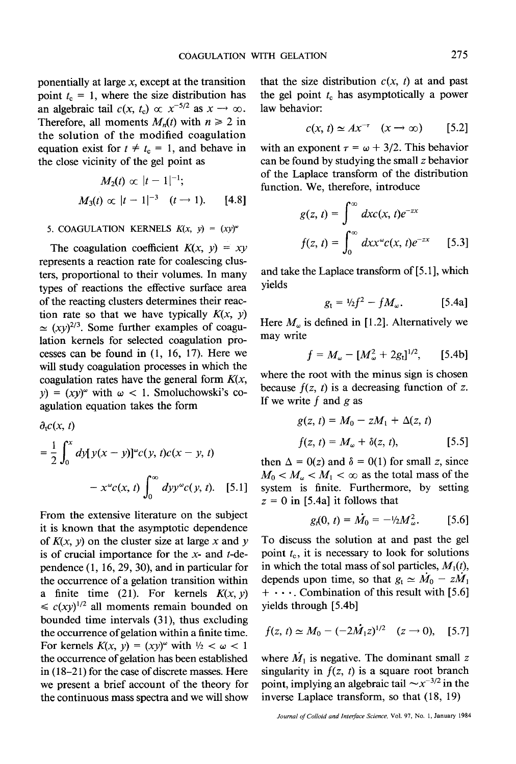ponentially at large  $x$ , except at the transition point  $t_c = 1$ , where the size distribution has an algebraic tail  $c(x, t_c) \propto x^{-5/2}$  as  $x \to \infty$ . Therefore, all moments  $M_n(t)$  with  $n \ge 2$  in the solution of the modified coagulation equation exist for  $t \neq t_{c} = 1$ , and behave in the close vicinity of the gel point as

$$
M_2(t) \propto |t-1|^{-1};
$$
  
 
$$
M_3(t) \propto |t-1|^{-3} \quad (t \to 1).
$$
 [4.8]

#### 5. COAGULATION KERNELS  $K(x, y) = (xy)^{\omega}$

The coagulation coefficient  $K(x, y) = xy$ represents a reaction rate for coalescing clusters, proportional to their volumes. In many types of reactions the effective surface area of the reacting clusters determines their reaction rate so that we have typically  $K(x, y)$  $\approx (xy)^{2/3}$ . Some further examples of coagulation kernels for selected coagulation processes can be found in (1, 16, 17). Here we will study coagulation processes in which the coagulation rates have the general form  $K(x, \cdot)$  $y$  =  $(xy)^{\omega}$  with  $\omega$  < 1. Smoluchowski's coagulation equation takes the form

$$
\partial_t c(x, t) = \frac{1}{2} \int_0^x dy [y(x - y)]^\omega c(y, t) c(x - y, t) - x^\omega c(x, t) \int_0^\infty dy y^\omega c(y, t). \quad [5.1]
$$

From the extensive literature on the subject it is known that the asymptotic dependence of  $K(x, y)$  on the cluster size at large x and y is of crucial importance for the  $x$ - and  $t$ -dependence (1, 16, 29, 30), and in particular for the occurrence of a gelation transition within a finite time (21). For kernels  $K(x, y)$  $\leq c(xy)^{1/2}$  all moments remain bounded on bounded time intervals (31), thus excluding the occurrence of gelation within a finite time. For kernels  $K(x, y) = (xy)^{\omega}$  with  $\frac{1}{2} < \omega < 1$ the occurrence of gelation has been established in (18-21) for the case of discrete masses. Here we present a brief account of the theory for the continuous mass spectra and we will show that the size distribution  $c(x, t)$  at and past the gel point  $t_c$  has asymptotically a power law behavior:

$$
c(x, t) \simeq Ax^{-\tau} \quad (x \to \infty) \qquad [5.2]
$$

with an exponent  $\tau = \omega + 3/2$ . This behavior can be found by studying the small z behavior of the Laplace transform of the distribution function. We, therefore, introduce

$$
g(z, t) = \int_{0}^{\infty} dx c(x, t) e^{-zx}
$$

$$
f(z, t) = \int_{0}^{\infty} dx x^{\omega} c(x, t) e^{-zx} \qquad [5.3]
$$

and take the Laplace transform of [5.1 ], which yields

$$
g_{\rm t} = V_2 f^2 - f M_{\omega}.\tag{5.4a}
$$

Here  $M_{\omega}$  is defined in [1.2]. Alternatively we may write

$$
f = M_{\omega} - [M_{\omega}^2 + 2g_1]^{1/2},
$$
 [5.4b]

where the root with the minus sign is chosen because  $f(z, t)$  is a decreasing function of z. If we write  $f$  and  $g$  as

$$
g(z, t) = M_0 - zM_1 + \Delta(z, t)
$$
  

$$
f(z, t) = M_\omega + \delta(z, t),
$$
 [5.5]

then  $\Delta = 0(z)$  and  $\delta = 0(1)$  for small z, since  $M_0 < M_{\odot} < M_1 < \infty$  as the total mass of the system is finite. Furthermore, by setting  $z = 0$  in [5.4a] it follows that

$$
g_t(0, t) = \dot{M}_0 = -\frac{1}{2} M_\omega^2. \qquad [5.6]
$$

To discuss the solution at and past the gel point  $t_c$ , it is necessary to look for solutions in which the total mass of sol particles,  $M_1(t)$ , depends upon time, so that  $g_t \simeq \dot{M}_0 - z\dot{M}_1$  $+ \cdot \cdot \cdot$ . Combination of this result with [5.6] yields through [5.4b]

$$
f(z, t) \simeq M_0 - (-2\dot{M_1}z)^{1/2} \quad (z \to 0), \quad [5.7]
$$

where  $\dot{M}_1$  is negative. The dominant small z singularity in  $f(z, t)$  is a square root branch point, implying an algebraic tail  $\sim x^{-3/2}$  in the inverse Laplace transform, so that (18, 19)

*Journal of Colloid and Interface Science.* Vol. 97, No. 1, January 1984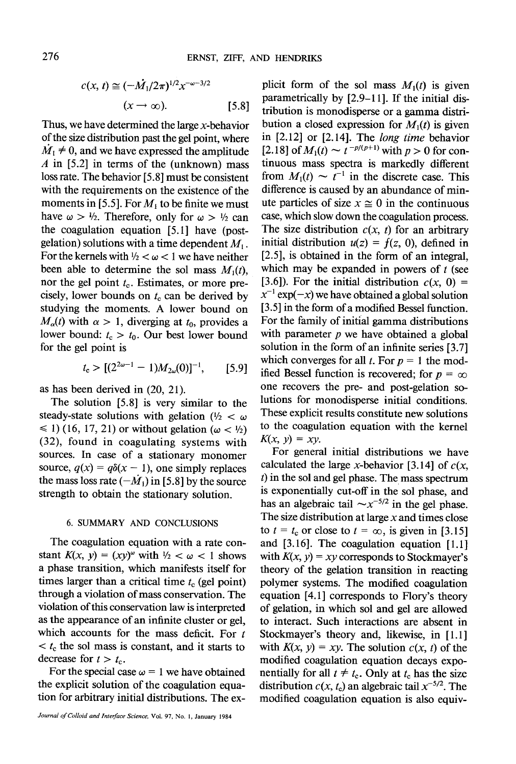$$
c(x, t) \cong (-\tilde{M}_1/2\pi)^{1/2} x^{-\omega-3/2}
$$
  

$$
(x \to \infty). \qquad [5.8]
$$

Thus, we have determined the large  $x$ -behavior of the size distribution past the gel point, where  $M_1 \neq 0$ , and we have expressed the amplitude A in  $[5.2]$  in terms of the (unknown) mass loss rate. The behavior [5.8] must be consistent with the requirements on the existence of the moments in [5.5]. For  $M_1$  to be finite we must have  $\omega > \frac{1}{2}$ . Therefore, only for  $\omega > \frac{1}{2}$  can the coagulation equation [5.1] have (postgelation) solutions with a time dependent  $M_1$ . For the kernels with  $1/2 < \omega < 1$  we have neither been able to determine the sol mass  $M_1(t)$ , nor the gel point  $t_c$ . Estimates, or more precisely, lower bounds on  $t_c$  can be derived by studying the moments. A lower bound on  $M_{\alpha}(t)$  with  $\alpha > 1$ , diverging at  $t_0$ , provides a lower bound:  $t_c > t_0$ . Our best lower bound for the gel point is

$$
t_{\rm c} > [(2^{\omega - 1} - 1)M_{2\omega}(0)]^{-1}, \qquad [5.9]
$$

as has been derived in (20, 21).

The solution [5.8] is very similar to the steady-state solutions with gelation ( $\frac{1}{2} < \omega$ )  $\leq$  1) (16, 17, 21) or without gelation ( $\omega$  <  $\frac{1}{2}$ ) (32), found in coagulating systems with sources. In case of a stationary monomer source,  $q(x) = q\delta(x - 1)$ , one simply replaces the mass loss rate  $(-M_1)$  in [5.8] by the source strength to obtain the stationary solution.

## 6. SUMMARY AND CONCLUSIONS

The coagulation equation with a rate constant  $K(x, y) = (xy)^\omega$  with  $\frac{1}{2} < \omega < 1$  shows a phase transition, which manifests itself for times larger than a critical time  $t_c$  (gel point) through a violation of mass conservation. The violation of this conservation law is interpreted as the appearance of an infinite duster or gel, which accounts for the mass deficit. For  $t$  $\lt t_c$  the sol mass is constant, and it starts to decrease for  $t > t_c$ .

For the special case  $\omega = 1$  we have obtained the explicit solution of the coagulation equation for arbitrary initial distributions. The ex-

plicit form of the sol mass  $M_1(t)$  is given parametrically by [2.9-11]. If the initial distribution is monodisperse or a gamma distribution a closed expression for  $M_1(t)$  is given in [2.12] or [2.14]. The *long time* behavior [2.18] of  $M_1(t) \sim t^{-p/(p+1)}$  with  $p > 0$  for continuous mass spectra is markedly different from  $M_1(t) \sim t^{-1}$  in the discrete case. This difference is caused by an abundance of minute particles of size  $x \approx 0$  in the continuous case, which slow down the coagulation process. The size distribution  $c(x, t)$  for an arbitrary initial distribution  $u(z) = f(z, 0)$ , defined in [2.5], is obtained in the form of an integral, which may be expanded in powers of  $t$  (see [3.6]). For the initial distribution  $c(x, 0) =$  $x^{-1}$  exp( $-x$ ) we have obtained a global solution [3.5] in the form of a modified Bessel function. For the family of initial gamma distributions with parameter  $p$  we have obtained a global solution in the form of an infinite series [3.7] which converges for all t. For  $p = 1$  the modified Bessel function is recovered; for  $p = \infty$ one recovers the pre- and post-gelation solutions for monodisperse initial conditions. These explicit results constitute new solutions to the coagulation equation with the kernel  $K(x, y) = xy$ .

For general initial distributions we have calculated the large x-behavior [3.14] of  $c(x, \theta)$ t) in the sol and gel phase. The mass spectrum is exponentially cut-off in the sol phase, and has an algebraic tail  $\sim x^{-5/2}$  in the gel phase. The size distribution at large  $x$  and times close to  $t = t_c$  or close to  $t = \infty$ , is given in [3.15] and [3.16]. The coagulation equation [1.1] with  $K(x, y) = xy$  corresponds to Stockmayer's theory of the gelation transition in reacting polymer systems. The modified coagulation equation [4.1] corresponds to Flory's theory of gelation, in which sol and gel are allowed to interact. Such interactions are absent in Stockmayer's theory and, likewise, in [1.1] with  $K(x, y) = xy$ . The solution  $c(x, t)$  of the modified coagulation equation decays exponentially for all  $t \neq t_c$ . Only at  $t_c$  has the size distribution  $c(x, t<sub>c</sub>)$  an algebraic tail  $x<sup>-5/2</sup>$ . The modified coagulation equation is also equiv